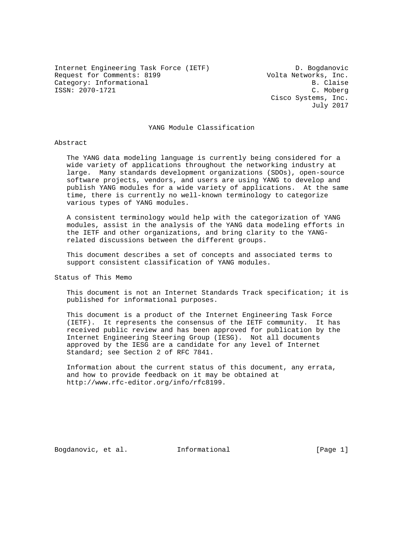Internet Engineering Task Force (IETF) D. Bogdanovic Request for Comments: 8199<br>Category: Informational delays and the Volta Networks, Inc. Category: Informational ISSN: 2070-1721 C. Moberg

 Cisco Systems, Inc. July 2017

# YANG Module Classification

# Abstract

 The YANG data modeling language is currently being considered for a wide variety of applications throughout the networking industry at large. Many standards development organizations (SDOs), open-source software projects, vendors, and users are using YANG to develop and publish YANG modules for a wide variety of applications. At the same time, there is currently no well-known terminology to categorize various types of YANG modules.

 A consistent terminology would help with the categorization of YANG modules, assist in the analysis of the YANG data modeling efforts in the IETF and other organizations, and bring clarity to the YANG related discussions between the different groups.

 This document describes a set of concepts and associated terms to support consistent classification of YANG modules.

Status of This Memo

 This document is not an Internet Standards Track specification; it is published for informational purposes.

 This document is a product of the Internet Engineering Task Force (IETF). It represents the consensus of the IETF community. It has received public review and has been approved for publication by the Internet Engineering Steering Group (IESG). Not all documents approved by the IESG are a candidate for any level of Internet Standard; see Section 2 of RFC 7841.

 Information about the current status of this document, any errata, and how to provide feedback on it may be obtained at http://www.rfc-editor.org/info/rfc8199.

Bogdanovic, et al. 1nformational [Page 1]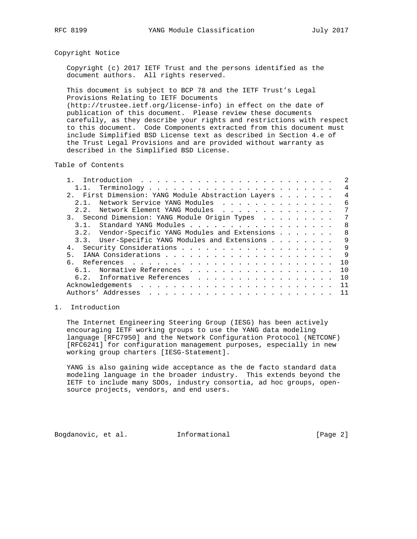# Copyright Notice

 Copyright (c) 2017 IETF Trust and the persons identified as the document authors. All rights reserved.

 This document is subject to BCP 78 and the IETF Trust's Legal Provisions Relating to IETF Documents (http://trustee.ietf.org/license-info) in effect on the date of publication of this document. Please review these documents carefully, as they describe your rights and restrictions with respect to this document. Code Components extracted from this document must include Simplified BSD License text as described in Section 4.e of the Trust Legal Provisions and are provided without warranty as described in the Simplified BSD License.

Table of Contents

|                                                    |  |  |  | $\mathfrak{D}$ |
|----------------------------------------------------|--|--|--|----------------|
|                                                    |  |  |  | 4              |
| 2. First Dimension: YANG Module Abstraction Layers |  |  |  | 4              |
| Network Service YANG Modules<br>2 1                |  |  |  | 6              |
| Network Element YANG Modules<br>2.2.               |  |  |  | 7              |
| 3. Second Dimension: YANG Module Origin Types      |  |  |  | 7              |
| 3.1.                                               |  |  |  | - 8            |
| 3.2. Vendor-Specific YANG Modules and Extensions   |  |  |  | 8              |
| 3.3. User-Specific YANG Modules and Extensions     |  |  |  | 9              |
|                                                    |  |  |  | 9              |
| 5.                                                 |  |  |  | 9              |
|                                                    |  |  |  | 1 O            |
| 6.1. Normative References                          |  |  |  | 10             |
| 6.2. Informative References                        |  |  |  | 1 O            |
|                                                    |  |  |  | 11             |
|                                                    |  |  |  |                |

### 1. Introduction

 The Internet Engineering Steering Group (IESG) has been actively encouraging IETF working groups to use the YANG data modeling language [RFC7950] and the Network Configuration Protocol (NETCONF) [RFC6241] for configuration management purposes, especially in new working group charters [IESG-Statement].

 YANG is also gaining wide acceptance as the de facto standard data modeling language in the broader industry. This extends beyond the IETF to include many SDOs, industry consortia, ad hoc groups, open source projects, vendors, and end users.

Bogdanovic, et al. Informational [Page 2]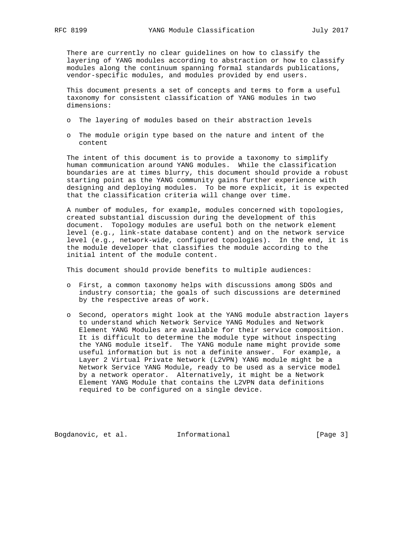There are currently no clear guidelines on how to classify the layering of YANG modules according to abstraction or how to classify modules along the continuum spanning formal standards publications, vendor-specific modules, and modules provided by end users.

 This document presents a set of concepts and terms to form a useful taxonomy for consistent classification of YANG modules in two dimensions:

- o The layering of modules based on their abstraction levels
- o The module origin type based on the nature and intent of the content

 The intent of this document is to provide a taxonomy to simplify human communication around YANG modules. While the classification boundaries are at times blurry, this document should provide a robust starting point as the YANG community gains further experience with designing and deploying modules. To be more explicit, it is expected that the classification criteria will change over time.

 A number of modules, for example, modules concerned with topologies, created substantial discussion during the development of this document. Topology modules are useful both on the network element level (e.g., link-state database content) and on the network service level (e.g., network-wide, configured topologies). In the end, it is the module developer that classifies the module according to the initial intent of the module content.

This document should provide benefits to multiple audiences:

- o First, a common taxonomy helps with discussions among SDOs and industry consortia; the goals of such discussions are determined by the respective areas of work.
- o Second, operators might look at the YANG module abstraction layers to understand which Network Service YANG Modules and Network Element YANG Modules are available for their service composition. It is difficult to determine the module type without inspecting the YANG module itself. The YANG module name might provide some useful information but is not a definite answer. For example, a Layer 2 Virtual Private Network (L2VPN) YANG module might be a Network Service YANG Module, ready to be used as a service model by a network operator. Alternatively, it might be a Network Element YANG Module that contains the L2VPN data definitions required to be configured on a single device.

Bogdanovic, et al. 1nformational 1999 [Page 3]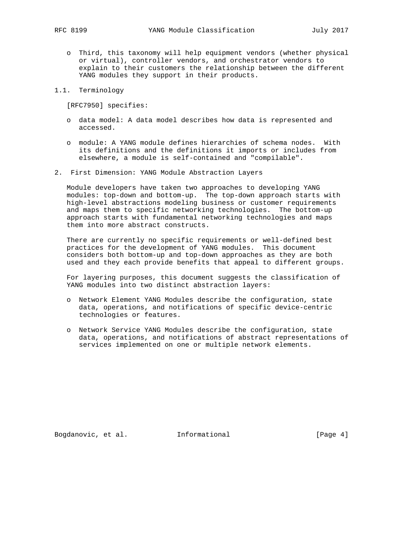- o Third, this taxonomy will help equipment vendors (whether physical or virtual), controller vendors, and orchestrator vendors to explain to their customers the relationship between the different YANG modules they support in their products.
- 1.1. Terminology

[RFC7950] specifies:

- o data model: A data model describes how data is represented and accessed.
- o module: A YANG module defines hierarchies of schema nodes. With its definitions and the definitions it imports or includes from elsewhere, a module is self-contained and "compilable".
- 2. First Dimension: YANG Module Abstraction Layers

 Module developers have taken two approaches to developing YANG modules: top-down and bottom-up. The top-down approach starts with high-level abstractions modeling business or customer requirements and maps them to specific networking technologies. The bottom-up approach starts with fundamental networking technologies and maps them into more abstract constructs.

 There are currently no specific requirements or well-defined best practices for the development of YANG modules. This document considers both bottom-up and top-down approaches as they are both used and they each provide benefits that appeal to different groups.

 For layering purposes, this document suggests the classification of YANG modules into two distinct abstraction layers:

- o Network Element YANG Modules describe the configuration, state data, operations, and notifications of specific device-centric technologies or features.
- o Network Service YANG Modules describe the configuration, state data, operations, and notifications of abstract representations of services implemented on one or multiple network elements.

Bogdanovic, et al. 1nformational 1999 [Page 4]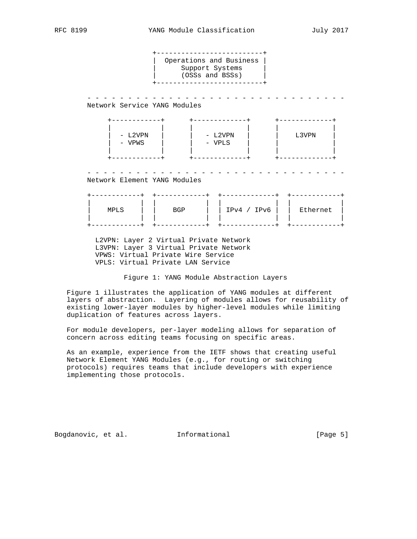+--------------------------+ | Operations and Business | Support Systems | (OSSs and BSSs) | +--------------------------+ - - - - - - - - - - - - - - - - - - - - - - - - - - - - - - - - Network Service YANG Modules +------------+ +-------------+ +-------------+ | | | | | | | - L2VPN | | - L2VPN | | L3VPN | | - VPWS | | - VPLS | | | | | | | | | +------------+ +-------------+ +-------------+ - - - - - - - - - - - - - - - - - - - - - - - - - - - - - - - - Network Element YANG Modules +------------+ +------------+ +-------------+ +------------+ | | | | | | | | | MPLS | | BGP | | IPv4 / IPv6 | | Ethernet | | | | | | | | | +------------+ +------------+ +-------------+ +------------+ L2VPN: Layer 2 Virtual Private Network L3VPN: Layer 3 Virtual Private Network

 VPWS: Virtual Private Wire Service VPLS: Virtual Private LAN Service

Figure 1: YANG Module Abstraction Layers

 Figure 1 illustrates the application of YANG modules at different layers of abstraction. Layering of modules allows for reusability of existing lower-layer modules by higher-level modules while limiting duplication of features across layers.

 For module developers, per-layer modeling allows for separation of concern across editing teams focusing on specific areas.

 As an example, experience from the IETF shows that creating useful Network Element YANG Modules (e.g., for routing or switching protocols) requires teams that include developers with experience implementing those protocols.

Bogdanovic, et al. Informational [Page 5]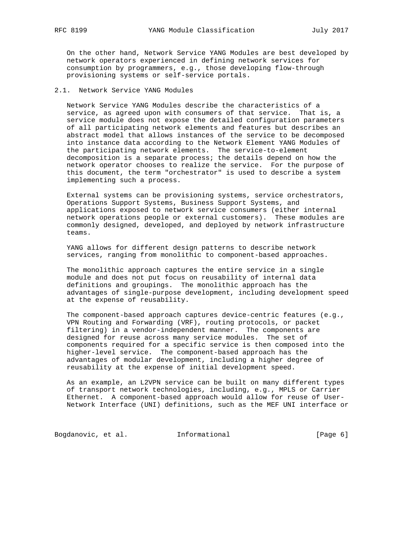On the other hand, Network Service YANG Modules are best developed by network operators experienced in defining network services for consumption by programmers, e.g., those developing flow-through provisioning systems or self-service portals.

# 2.1. Network Service YANG Modules

 Network Service YANG Modules describe the characteristics of a service, as agreed upon with consumers of that service. That is, a service module does not expose the detailed configuration parameters of all participating network elements and features but describes an abstract model that allows instances of the service to be decomposed into instance data according to the Network Element YANG Modules of the participating network elements. The service-to-element decomposition is a separate process; the details depend on how the network operator chooses to realize the service. For the purpose of this document, the term "orchestrator" is used to describe a system implementing such a process.

 External systems can be provisioning systems, service orchestrators, Operations Support Systems, Business Support Systems, and applications exposed to network service consumers (either internal network operations people or external customers). These modules are commonly designed, developed, and deployed by network infrastructure teams.

 YANG allows for different design patterns to describe network services, ranging from monolithic to component-based approaches.

 The monolithic approach captures the entire service in a single module and does not put focus on reusability of internal data definitions and groupings. The monolithic approach has the advantages of single-purpose development, including development speed at the expense of reusability.

 The component-based approach captures device-centric features (e.g., VPN Routing and Forwarding (VRF), routing protocols, or packet filtering) in a vendor-independent manner. The components are designed for reuse across many service modules. The set of components required for a specific service is then composed into the higher-level service. The component-based approach has the advantages of modular development, including a higher degree of reusability at the expense of initial development speed.

 As an example, an L2VPN service can be built on many different types of transport network technologies, including, e.g., MPLS or Carrier Ethernet. A component-based approach would allow for reuse of User- Network Interface (UNI) definitions, such as the MEF UNI interface or

Bogdanovic, et al. 1nformational 1999 [Page 6]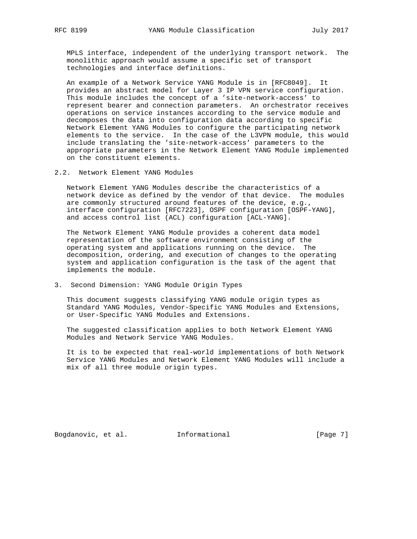MPLS interface, independent of the underlying transport network. The monolithic approach would assume a specific set of transport technologies and interface definitions.

 An example of a Network Service YANG Module is in [RFC8049]. It provides an abstract model for Layer 3 IP VPN service configuration. This module includes the concept of a 'site-network-access' to represent bearer and connection parameters. An orchestrator receives operations on service instances according to the service module and decomposes the data into configuration data according to specific Network Element YANG Modules to configure the participating network elements to the service. In the case of the L3VPN module, this would include translating the 'site-network-access' parameters to the appropriate parameters in the Network Element YANG Module implemented on the constituent elements.

2.2. Network Element YANG Modules

 Network Element YANG Modules describe the characteristics of a network device as defined by the vendor of that device. The modules are commonly structured around features of the device, e.g., interface configuration [RFC7223], OSPF configuration [OSPF-YANG], and access control list (ACL) configuration [ACL-YANG].

 The Network Element YANG Module provides a coherent data model representation of the software environment consisting of the operating system and applications running on the device. The decomposition, ordering, and execution of changes to the operating system and application configuration is the task of the agent that implements the module.

3. Second Dimension: YANG Module Origin Types

 This document suggests classifying YANG module origin types as Standard YANG Modules, Vendor-Specific YANG Modules and Extensions, or User-Specific YANG Modules and Extensions.

 The suggested classification applies to both Network Element YANG Modules and Network Service YANG Modules.

 It is to be expected that real-world implementations of both Network Service YANG Modules and Network Element YANG Modules will include a mix of all three module origin types.

Bogdanovic, et al. 1nformational 1999 [Page 7]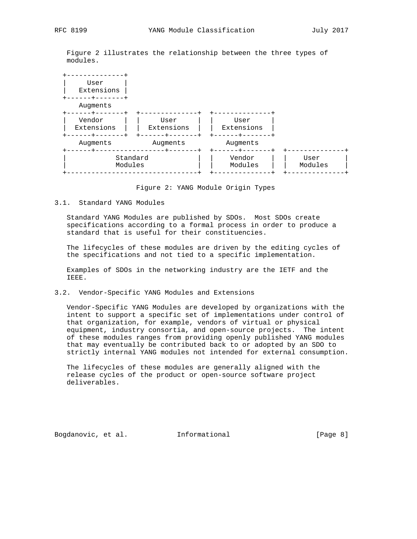Figure 2 illustrates the relationship between the three types of modules.



Figure 2: YANG Module Origin Types

# 3.1. Standard YANG Modules

 Standard YANG Modules are published by SDOs. Most SDOs create specifications according to a formal process in order to produce a standard that is useful for their constituencies.

 The lifecycles of these modules are driven by the editing cycles of the specifications and not tied to a specific implementation.

 Examples of SDOs in the networking industry are the IETF and the IEEE.

### 3.2. Vendor-Specific YANG Modules and Extensions

 Vendor-Specific YANG Modules are developed by organizations with the intent to support a specific set of implementations under control of that organization, for example, vendors of virtual or physical equipment, industry consortia, and open-source projects. The intent of these modules ranges from providing openly published YANG modules that may eventually be contributed back to or adopted by an SDO to strictly internal YANG modules not intended for external consumption.

 The lifecycles of these modules are generally aligned with the release cycles of the product or open-source software project deliverables.

Bogdanovic, et al. 1nformational 1999 [Page 8]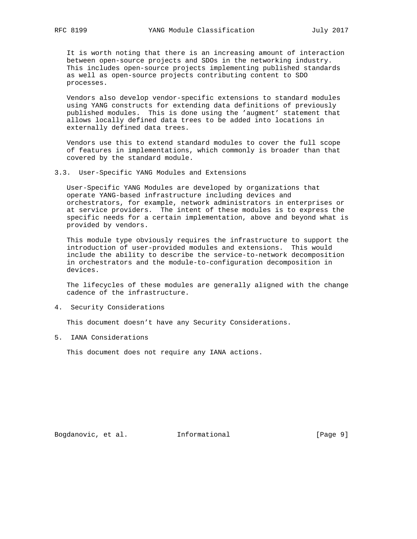It is worth noting that there is an increasing amount of interaction between open-source projects and SDOs in the networking industry. This includes open-source projects implementing published standards as well as open-source projects contributing content to SDO processes.

 Vendors also develop vendor-specific extensions to standard modules using YANG constructs for extending data definitions of previously published modules. This is done using the 'augment' statement that allows locally defined data trees to be added into locations in externally defined data trees.

 Vendors use this to extend standard modules to cover the full scope of features in implementations, which commonly is broader than that covered by the standard module.

3.3. User-Specific YANG Modules and Extensions

 User-Specific YANG Modules are developed by organizations that operate YANG-based infrastructure including devices and orchestrators, for example, network administrators in enterprises or at service providers. The intent of these modules is to express the specific needs for a certain implementation, above and beyond what is provided by vendors.

 This module type obviously requires the infrastructure to support the introduction of user-provided modules and extensions. This would include the ability to describe the service-to-network decomposition in orchestrators and the module-to-configuration decomposition in devices.

 The lifecycles of these modules are generally aligned with the change cadence of the infrastructure.

4. Security Considerations

This document doesn't have any Security Considerations.

5. IANA Considerations

This document does not require any IANA actions.

Bogdanovic, et al. 1nformational 1999 [Page 9]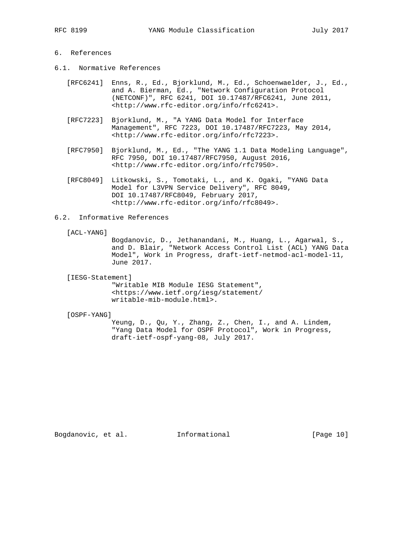# 6. References

- 6.1. Normative References
	- [RFC6241] Enns, R., Ed., Bjorklund, M., Ed., Schoenwaelder, J., Ed., and A. Bierman, Ed., "Network Configuration Protocol (NETCONF)", RFC 6241, DOI 10.17487/RFC6241, June 2011, <http://www.rfc-editor.org/info/rfc6241>.
	- [RFC7223] Bjorklund, M., "A YANG Data Model for Interface Management", RFC 7223, DOI 10.17487/RFC7223, May 2014, <http://www.rfc-editor.org/info/rfc7223>.
	- [RFC7950] Bjorklund, M., Ed., "The YANG 1.1 Data Modeling Language", RFC 7950, DOI 10.17487/RFC7950, August 2016, <http://www.rfc-editor.org/info/rfc7950>.
	- [RFC8049] Litkowski, S., Tomotaki, L., and K. Ogaki, "YANG Data Model for L3VPN Service Delivery", RFC 8049, DOI 10.17487/RFC8049, February 2017, <http://www.rfc-editor.org/info/rfc8049>.

# 6.2. Informative References

#### [ACL-YANG]

 Bogdanovic, D., Jethanandani, M., Huang, L., Agarwal, S., and D. Blair, "Network Access Control List (ACL) YANG Data Model", Work in Progress, draft-ietf-netmod-acl-model-11, June 2017.

[IESG-Statement]

 "Writable MIB Module IESG Statement", <https://www.ietf.org/iesg/statement/ writable-mib-module.html>.

#### [OSPF-YANG]

 Yeung, D., Qu, Y., Zhang, Z., Chen, I., and A. Lindem, "Yang Data Model for OSPF Protocol", Work in Progress, draft-ietf-ospf-yang-08, July 2017.

Bogdanovic, et al. 1nformational [Page 10]